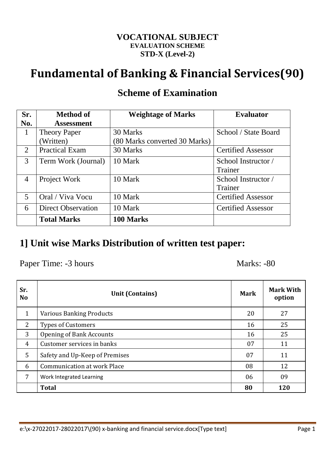#### **VOCATIONAL SUBJECT EVALUATION SCHEME STD-X (Level-2)**

# **Fundamental of Banking & Financial Services(90)**

| Sr.            | <b>Method of</b>          | <b>Weightage of Marks</b>     | <b>Evaluator</b>          |
|----------------|---------------------------|-------------------------------|---------------------------|
| No.            | <b>Assessment</b>         |                               |                           |
| 1              | <b>Theory Paper</b>       | 30 Marks                      | School / State Board      |
|                | Written)                  | (80 Marks converted 30 Marks) |                           |
| 2              | <b>Practical Exam</b>     | 30 Marks                      | <b>Certified Assessor</b> |
| 3              | Term Work (Journal)       | 10 Mark                       | School Instructor /       |
|                |                           |                               | Trainer                   |
| $\overline{4}$ | Project Work              | 10 Mark                       | School Instructor /       |
|                |                           |                               | Trainer                   |
| 5              | Oral / Viva Vocu          | 10 Mark                       | <b>Certified Assessor</b> |
| 6              | <b>Direct Observation</b> | 10 Mark                       | <b>Certified Assessor</b> |
|                | <b>Total Marks</b>        | 100 Marks                     |                           |

### **Scheme of Examination**

### **1] Unit wise Marks Distribution of written test paper:**

Paper Time: -3 hours Marks: -80

| Sr.<br><b>No</b> | <b>Unit (Contains)</b>             | <b>Mark</b> | <b>Mark With</b><br>option |  |  |
|------------------|------------------------------------|-------------|----------------------------|--|--|
| $\mathbf{1}$     | <b>Various Banking Products</b>    | 20          | 27                         |  |  |
| 2                | <b>Types of Customers</b>          | 16          | 25                         |  |  |
| 3                | <b>Opening of Bank Accounts</b>    | 16          | 25                         |  |  |
| 4                | Customer services in banks         | 07          | 11                         |  |  |
| 5                | Safety and Up-Keep of Premises     | 07          | 11                         |  |  |
| 6                | <b>Communication at work Place</b> | 08          | 12                         |  |  |
| 7                | Work Integrated Learning           | 06          | 09                         |  |  |
|                  | <b>Total</b>                       | 80          | 120                        |  |  |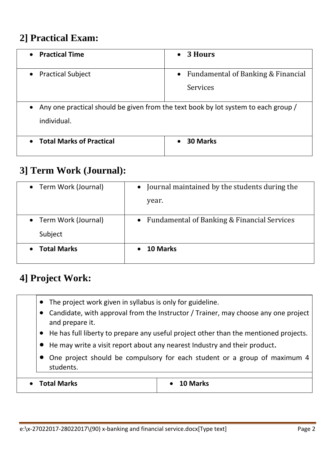### **2] Practical Exam:**

| <b>Practical Time</b>           | 3 Hours<br>$\bullet$                                                               |
|---------------------------------|------------------------------------------------------------------------------------|
| <b>Practical Subject</b>        | Fundamental of Banking & Financial<br>$\bullet$                                    |
|                                 | Services                                                                           |
|                                 | Any one practical should be given from the text book by lot system to each group / |
| individual.                     |                                                                                    |
| <b>Total Marks of Practical</b> | 30 Marks<br>$\bullet$                                                              |

### **3] Term Work (Journal):**

| • Term Work (Journal)            | Journal maintained by the students during the<br>$\bullet$<br>year. |
|----------------------------------|---------------------------------------------------------------------|
| • Term Work (Journal)<br>Subject | Fundamental of Banking & Financial Services<br>$\bullet$            |
| <b>Total Marks</b><br>$\bullet$  | <b>10 Marks</b>                                                     |

## **4] Project Work:**

- The project work given in syllabus is only for guideline.
- Candidate, with approval from the Instructor / Trainer, may choose any one project and prepare it.
- He has full liberty to prepare any useful project other than the mentioned projects.
- He may write a visit report about any nearest Industry and their product.
- One project should be compulsory for each student or a group of maximum 4 students.

**Total Marks 10 Marks**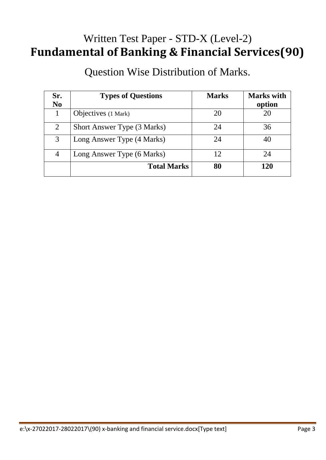# Written Test Paper - STD-X (Level-2) **Fundamental of Banking & Financial Services(90)**

Question Wise Distribution of Marks.

| Sr.            | <b>Types of Questions</b>   | <b>Marks</b> | <b>Marks</b> with |
|----------------|-----------------------------|--------------|-------------------|
| N <sub>0</sub> |                             |              | option            |
|                | Objectives (1 Mark)         | 20           | 20                |
| $\overline{2}$ | Short Answer Type (3 Marks) | 24           | 36                |
| 3              | Long Answer Type (4 Marks)  | 24           | 40                |
| 4              | Long Answer Type (6 Marks)  | 12           | 24                |
|                | <b>Total Marks</b>          | 80           | 120               |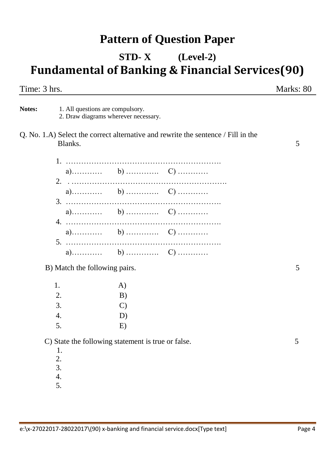## **Pattern of Question Paper**

# **STD- X (Level-2) Fundamental of Banking & Financial Services(90)**

Time: 3 hrs. Marks: 80

Notes: 1. All questions are compulsory. 2. Draw diagrams wherever necessary.

Q. No. 1.A) Select the correct alternative and rewrite the sentence / Fill in the Blanks. 5

B) Match the following pairs. 5

| 1. | A)            |
|----|---------------|
| 2. | B)            |
| 3. | $\mathcal{C}$ |
| 4. | D)            |
| 5. | E)            |

C) State the following statement is true or false. 5

- 2.
- 3.
- 4.
- 5.

 <sup>1.</sup>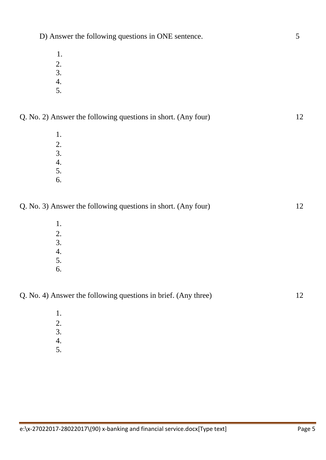- 3.
- 4.
- 5.

| Q. No. 2) Answer the following questions in short. (Any four) |  |
|---------------------------------------------------------------|--|
|---------------------------------------------------------------|--|

D) Answer the following questions in ONE sentence. 5

1. 2. 3. 4. 5.

6.

Q. No. 3) Answer the following questions in short. (Any four) 12

- 1. 2. 3. 4. 5.
- 6.

Q. No. 4) Answer the following questions in brief. (Any three) 12

- 3.
- 4.
- 5.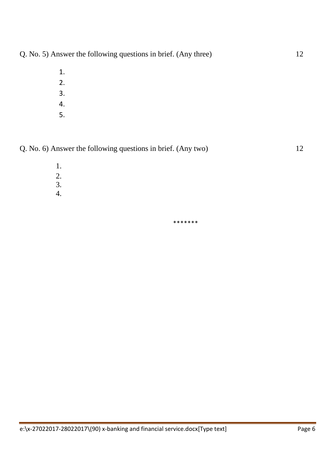Q. No. 5) Answer the following questions in brief. (Any three) 12

- 1. 2.
- 3.
- 4.
- 5.

Q. No. 6) Answer the following questions in brief. (Any two) 12

- 1.
- 2.
- 3.
- 4.

\*\*\*\*\*\*\*